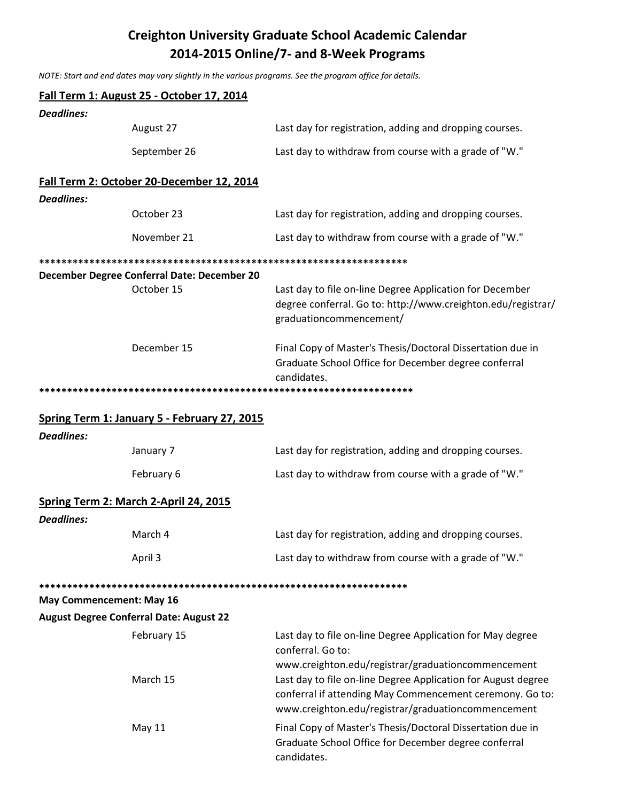## **Creighton University Graduate School Academic Calendar** 2014-2015 Online/7- and 8-Week Programs

NOTE: Start and end dates may vary slightly in the various programs. See the program office for details.

|                   | Fall Term 1: August 25 - October 17, 2014      |                                                                                                                                                                                                                                       |
|-------------------|------------------------------------------------|---------------------------------------------------------------------------------------------------------------------------------------------------------------------------------------------------------------------------------------|
| <b>Deadlines:</b> |                                                |                                                                                                                                                                                                                                       |
|                   | August 27                                      | Last day for registration, adding and dropping courses.                                                                                                                                                                               |
|                   | September 26                                   | Last day to withdraw from course with a grade of "W."                                                                                                                                                                                 |
|                   | Fall Term 2: October 20-December 12, 2014      |                                                                                                                                                                                                                                       |
| <b>Deadlines:</b> |                                                |                                                                                                                                                                                                                                       |
|                   | October 23                                     | Last day for registration, adding and dropping courses.                                                                                                                                                                               |
|                   | November 21                                    | Last day to withdraw from course with a grade of "W."                                                                                                                                                                                 |
|                   | December Degree Conferral Date: December 20    |                                                                                                                                                                                                                                       |
|                   | October 15                                     | Last day to file on-line Degree Application for December<br>degree conferral. Go to: http://www.creighton.edu/registrar/<br>graduationcommencement/                                                                                   |
|                   | December 15                                    | Final Copy of Master's Thesis/Doctoral Dissertation due in<br>Graduate School Office for December degree conferral<br>candidates.                                                                                                     |
|                   |                                                |                                                                                                                                                                                                                                       |
|                   | Spring Term 1: January 5 - February 27, 2015   |                                                                                                                                                                                                                                       |
| <b>Deadlines:</b> |                                                |                                                                                                                                                                                                                                       |
|                   | January 7                                      | Last day for registration, adding and dropping courses.                                                                                                                                                                               |
|                   | February 6                                     | Last day to withdraw from course with a grade of "W."                                                                                                                                                                                 |
|                   | Spring Term 2: March 2-April 24, 2015          |                                                                                                                                                                                                                                       |
| <b>Deadlines:</b> |                                                |                                                                                                                                                                                                                                       |
|                   | March 4                                        | Last day for registration, adding and dropping courses.                                                                                                                                                                               |
|                   | April 3                                        | Last day to withdraw from course with a grade of "W."                                                                                                                                                                                 |
|                   |                                                |                                                                                                                                                                                                                                       |
|                   | <b>May Commencement: May 16</b>                |                                                                                                                                                                                                                                       |
|                   | <b>August Degree Conferral Date: August 22</b> |                                                                                                                                                                                                                                       |
|                   | February 15                                    | Last day to file on-line Degree Application for May degree<br>conferral. Go to:                                                                                                                                                       |
|                   | March 15                                       | www.creighton.edu/registrar/graduationcommencement<br>Last day to file on-line Degree Application for August degree<br>conferral if attending May Commencement ceremony. Go to:<br>www.creighton.edu/registrar/graduationcommencement |
|                   | May 11                                         | Final Copy of Master's Thesis/Doctoral Dissertation due in<br>Graduate School Office for December degree conferral<br>candidates.                                                                                                     |